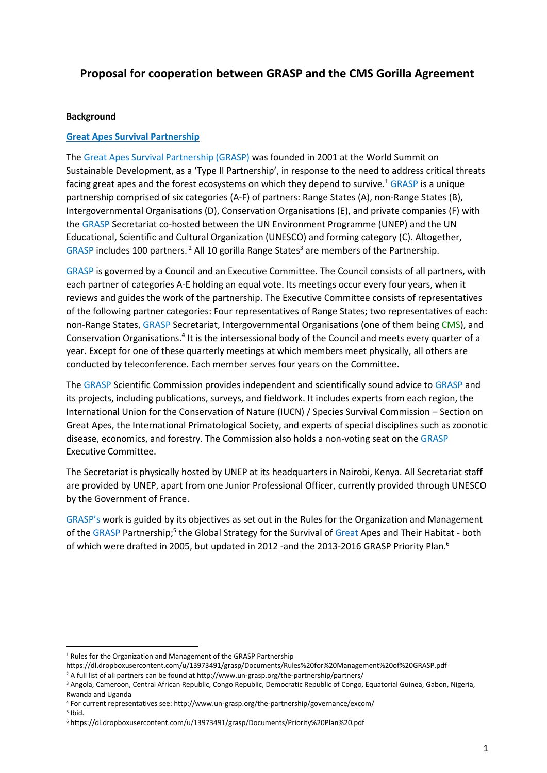# **Proposal for cooperation between GRASP and the CMS Gorilla Agreement**

#### **Background**

#### **Great Apes Survival Partnership**

The Great Apes Survival Partnership (GRASP) was founded in 2001 at the World Summit on Sustainable Development, as a 'Type II Partnership', in response to the need to address critical threats facing great apes and the forest ecosystems on which they depend to survive.<sup>1</sup> GRASP is a unique partnership comprised of six categories (A-F) of partners: Range States (A), non-Range States (B), Intergovernmental Organisations (D), Conservation Organisations (E), and private companies (F) with the GRASP Secretariat co-hosted between the UN Environment Programme (UNEP) and the UN Educational, Scientific and Cultural Organization (UNESCO) and forming category (C). Altogether, GRASP includes 100 partners.<sup>2</sup> All 10 gorilla Range States<sup>3</sup> are members of the Partnership.

GRASP is governed by a Council and an Executive Committee. The Council consists of all partners, with each partner of categories A-E holding an equal vote. Its meetings occur every four years, when it reviews and guides the work of the partnership. The Executive Committee consists of representatives of the following partner categories: Four representatives of Range States; two representatives of each: non-Range States, GRASP Secretariat, Intergovernmental Organisations (one of them being CMS), and Conservation Organisations.<sup>4</sup> It is the intersessional body of the Council and meets every quarter of a year. Except for one of these quarterly meetings at which members meet physically, all others are conducted by teleconference. Each member serves four years on the Committee.

The GRASP Scientific Commission provides independent and scientifically sound advice to GRASP and its projects, including publications, surveys, and fieldwork. It includes experts from each region, the International Union for the Conservation of Nature (IUCN) / Species Survival Commission – Section on Great Apes, the International Primatological Society, and experts of special disciplines such as zoonotic disease, economics, and forestry. The Commission also holds a non-voting seat on the GRASP Executive Committee.

The Secretariat is physically hosted by UNEP at its headquarters in Nairobi, Kenya. All Secretariat staff are provided by UNEP, apart from one Junior Professional Officer, currently provided through UNESCO by the Government of France.

GRASP's work is guided by its objectives as set out in the Rules for the Organization and Management of the GRASP Partnership;<sup>5</sup> the Global Strategy for the Survival of Great Apes and Their Habitat - both of which were drafted in 2005, but updated in 2012 -and the 2013-2016 GRASP Priority Plan.<sup>6</sup>

1

<sup>&</sup>lt;sup>1</sup> Rules for the Organization and Management of the GRASP Partnership

https://dl.dropboxusercontent.com/u/13973491/grasp/Documents/Rules%20for%20Management%20of%20GRASP.pdf

 $2A$  full list of all partners can be found at http://www.un-grasp.org/the-partnership/partners/

<sup>3</sup> Angola, Cameroon, Central African Republic, Congo Republic, Democratic Republic of Congo, Equatorial Guinea, Gabon, Nigeria, Rwanda and Uganda

<sup>4</sup> For current representatives see: http://www.un-grasp.org/the-partnership/governance/excom/

<sup>5</sup> Ibid.

<sup>6</sup> https://dl.dropboxusercontent.com/u/13973491/grasp/Documents/Priority%20Plan%20.pdf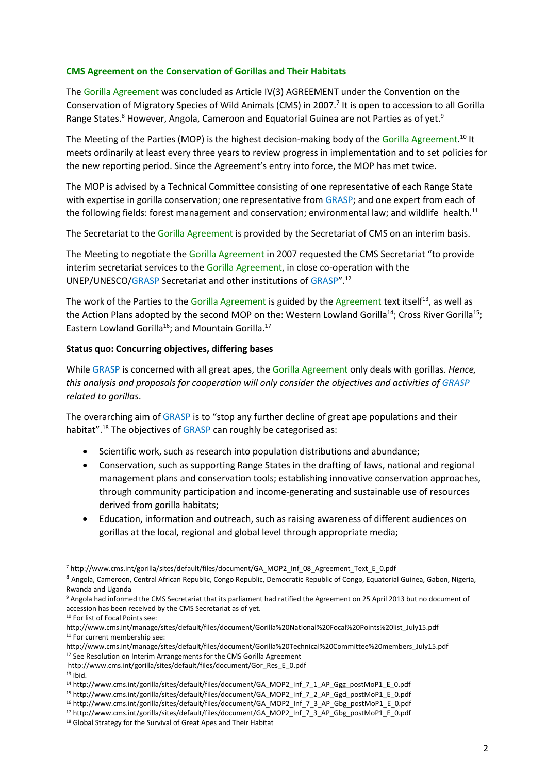## **CMS Agreement on the Conservation of Gorillas and Their Habitats**

The Gorilla Agreement was concluded as Article IV(3) AGREEMENT under the Convention on the Conservation of Migratory Species of Wild Animals (CMS) in 2007.<sup>7</sup> It is open to accession to all Gorilla Range States.<sup>8</sup> However, Angola, Cameroon and Equatorial Guinea are not Parties as of yet.<sup>9</sup>

The Meeting of the Parties (MOP) is the highest decision-making body of the Gorilla Agreement.<sup>10</sup> It meets ordinarily at least every three years to review progress in implementation and to set policies for the new reporting period. Since the Agreement's entry into force, the MOP has met twice.

The MOP is advised by a Technical Committee consisting of one representative of each Range State with expertise in gorilla conservation; one representative from GRASP; and one expert from each of the following fields: forest management and conservation; environmental law; and wildlife health.<sup>11</sup>

The Secretariat to the Gorilla Agreement is provided by the Secretariat of CMS on an interim basis.

The Meeting to negotiate the Gorilla Agreement in 2007 requested the CMS Secretariat "to provide interim secretariat services to the Gorilla Agreement, in close co-operation with the UNEP/UNESCO/GRASP Secretariat and other institutions of GRASP". 12

The work of the Parties to the Gorilla Agreement is guided by the Agreement text itself<sup>13</sup>, as well as the Action Plans adopted by the second MOP on the: Western Lowland Gorilla<sup>14</sup>; Cross River Gorilla<sup>15</sup>; Eastern Lowland Gorilla<sup>16</sup>; and Mountain Gorilla.<sup>17</sup>

#### **Status quo: Concurring objectives, differing bases**

While GRASP is concerned with all great apes, the Gorilla Agreement only deals with gorillas. *Hence, this analysis and proposals for cooperation will only consider the objectives and activities of GRASP related to gorillas*.

The overarching aim of GRASP is to "stop any further decline of great ape populations and their habitat".<sup>18</sup> The objectives of GRASP can roughly be categorised as:

- Scientific work, such as research into population distributions and abundance;
- Conservation, such as supporting Range States in the drafting of laws, national and regional management plans and conservation tools; establishing innovative conservation approaches, through community participation and income-generating and sustainable use of resources derived from gorilla habitats;
- Education, information and outreach, such as raising awareness of different audiences on gorillas at the local, regional and global level through appropriate media;

 $\overline{a}$ <sup>7</sup> http://www.cms.int/gorilla/sites/default/files/document/GA\_MOP2\_Inf\_08\_Agreement\_Text\_E\_0.pdf

<sup>8</sup> Angola, Cameroon, Central African Republic, Congo Republic, Democratic Republic of Congo, Equatorial Guinea, Gabon, Nigeria, Rwanda and Uganda

<sup>9</sup> Angola had informed the CMS Secretariat that its parliament had ratified the Agreement on 25 April 2013 but no document of accession has been received by the CMS Secretariat as of yet.

<sup>10</sup> For list of Focal Points see:

http://www.cms.int/manage/sites/default/files/document/Gorilla%20National%20Focal%20Points%20list\_July15.pdf <sup>11</sup> For current membership see:

http://www.cms.int/manage/sites/default/files/document/Gorilla%20Technical%20Committee%20members\_July15.pdf <sup>12</sup> See Resolution on Interim Arrangements for the CMS Gorilla Agreement

http://www.cms.int/gorilla/sites/default/files/document/Gor\_Res\_E\_0.pdf

 $13$  Ibid.

<sup>14</sup> http://www.cms.int/gorilla/sites/default/files/document/GA\_MOP2\_Inf\_7\_1\_AP\_Ggg\_postMoP1\_E\_0.pdf

<sup>15</sup> http://www.cms.int/gorilla/sites/default/files/document/GA\_MOP2\_Inf\_7\_2\_AP\_Ggd\_postMoP1\_E\_0.pdf

<sup>16</sup> http://www.cms.int/gorilla/sites/default/files/document/GA\_MOP2\_Inf\_7\_3\_AP\_Gbg\_postMoP1\_E\_0.pdf

<sup>17</sup> http://www.cms.int/gorilla/sites/default/files/document/GA\_MOP2\_Inf\_7\_3\_AP\_Gbg\_postMoP1\_E\_0.pdf

<sup>&</sup>lt;sup>18</sup> Global Strategy for the Survival of Great Apes and Their Habitat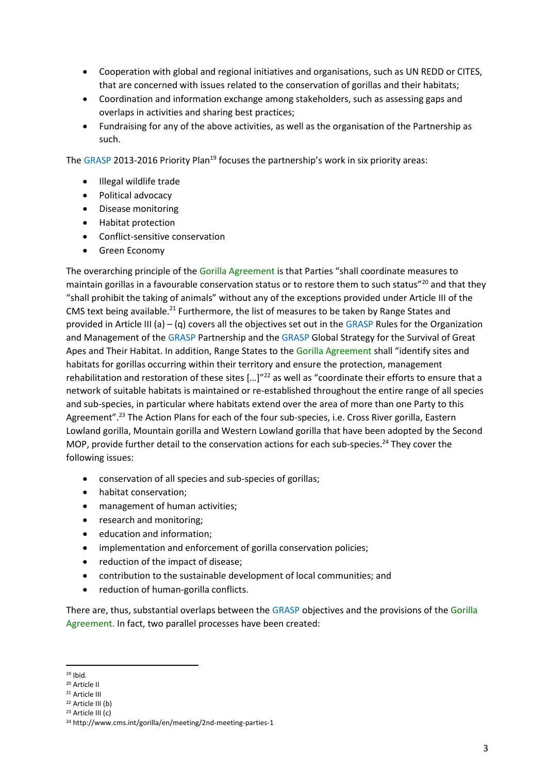- Cooperation with global and regional initiatives and organisations, such as UN REDD or CITES, that are concerned with issues related to the conservation of gorillas and their habitats;
- Coordination and information exchange among stakeholders, such as assessing gaps and overlaps in activities and sharing best practices;
- Fundraising for any of the above activities, as well as the organisation of the Partnership as such.

The GRASP 2013-2016 Priority Plan<sup>19</sup> focuses the partnership's work in six priority areas:

- Illegal wildlife trade
- Political advocacy
- Disease monitoring
- Habitat protection
- Conflict-sensitive conservation
- **•** Green Economy

The overarching principle of the Gorilla Agreement is that Parties "shall coordinate measures to maintain gorillas in a favourable conservation status or to restore them to such status"<sup>20</sup> and that they "shall prohibit the taking of animals" without any of the exceptions provided under Article III of the CMS text being available.<sup>21</sup> Furthermore, the list of measures to be taken by Range States and provided in Article III (a) – (q) covers all the objectives set out in the GRASP Rules for the Organization and Management of the GRASP Partnership and the GRASP Global Strategy for the Survival of Great Apes and Their Habitat. In addition, Range States to the Gorilla Agreement shall "identify sites and habitats for gorillas occurring within their territory and ensure the protection, management rehabilitation and restoration of these sites  $[...]^{22}$  as well as "coordinate their efforts to ensure that a network of suitable habitats is maintained or re-established throughout the entire range of all species and sub-species, in particular where habitats extend over the area of more than one Party to this Agreement".<sup>23</sup> The Action Plans for each of the four sub-species, i.e. Cross River gorilla, Eastern Lowland gorilla, Mountain gorilla and Western Lowland gorilla that have been adopted by the Second MOP, provide further detail to the conservation actions for each sub-species.<sup>24</sup> They cover the following issues:

- conservation of all species and sub-species of gorillas;
- habitat conservation;
- management of human activities;
- research and monitoring:
- education and information;
- implementation and enforcement of gorilla conservation policies;
- reduction of the impact of disease;
- contribution to the sustainable development of local communities; and
- reduction of human-gorilla conflicts.

There are, thus, substantial overlaps between the GRASP objectives and the provisions of the Gorilla Agreement. In fact, two parallel processes have been created:

**<sup>.</sup>**  $19$  Ibid.

<sup>20</sup> Article II

<sup>21</sup> Article III

<sup>22</sup> Article III (b)

<sup>23</sup> Article III (c)

<sup>24</sup> http://www.cms.int/gorilla/en/meeting/2nd-meeting-parties-1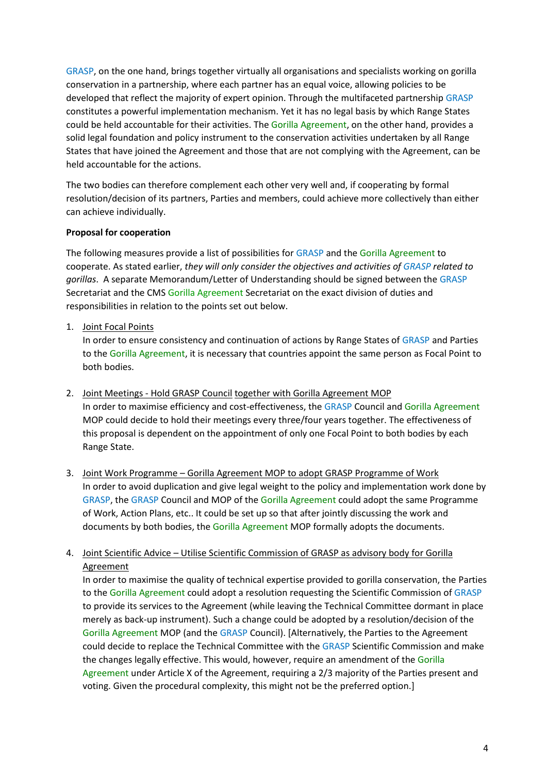GRASP, on the one hand, brings together virtually all organisations and specialists working on gorilla conservation in a partnership, where each partner has an equal voice, allowing policies to be developed that reflect the majority of expert opinion. Through the multifaceted partnership GRASP constitutes a powerful implementation mechanism. Yet it has no legal basis by which Range States could be held accountable for their activities. The Gorilla Agreement, on the other hand, provides a solid legal foundation and policy instrument to the conservation activities undertaken by all Range States that have joined the Agreement and those that are not complying with the Agreement, can be held accountable for the actions.

The two bodies can therefore complement each other very well and, if cooperating by formal resolution/decision of its partners, Parties and members, could achieve more collectively than either can achieve individually.

## **Proposal for cooperation**

The following measures provide a list of possibilities for GRASP and the Gorilla Agreement to cooperate. As stated earlier, *they will only consider the objectives and activities of GRASP related to gorillas*. A separate Memorandum/Letter of Understanding should be signed between the GRASP Secretariat and the CMS Gorilla Agreement Secretariat on the exact division of duties and responsibilities in relation to the points set out below.

## 1. Joint Focal Points

In order to ensure consistency and continuation of actions by Range States of GRASP and Parties to the Gorilla Agreement, it is necessary that countries appoint the same person as Focal Point to both bodies.

- 2. Joint Meetings Hold GRASP Council together with Gorilla Agreement MOP In order to maximise efficiency and cost-effectiveness, the GRASP Council and Gorilla Agreement MOP could decide to hold their meetings every three/four years together. The effectiveness of this proposal is dependent on the appointment of only one Focal Point to both bodies by each Range State.
- 3. Joint Work Programme Gorilla Agreement MOP to adopt GRASP Programme of Work In order to avoid duplication and give legal weight to the policy and implementation work done by GRASP, the GRASP Council and MOP of the Gorilla Agreement could adopt the same Programme of Work, Action Plans, etc.. It could be set up so that after jointly discussing the work and documents by both bodies, the Gorilla Agreement MOP formally adopts the documents.

# 4. Joint Scientific Advice – Utilise Scientific Commission of GRASP as advisory body for Gorilla **Agreement**

In order to maximise the quality of technical expertise provided to gorilla conservation, the Parties to the Gorilla Agreement could adopt a resolution requesting the Scientific Commission of GRASP to provide its services to the Agreement (while leaving the Technical Committee dormant in place merely as back-up instrument). Such a change could be adopted by a resolution/decision of the Gorilla Agreement MOP (and the GRASP Council). [Alternatively, the Parties to the Agreement could decide to replace the Technical Committee with the GRASP Scientific Commission and make the changes legally effective. This would, however, require an amendment of the Gorilla Agreement under Article X of the Agreement, requiring a 2/3 majority of the Parties present and voting. Given the procedural complexity, this might not be the preferred option.]